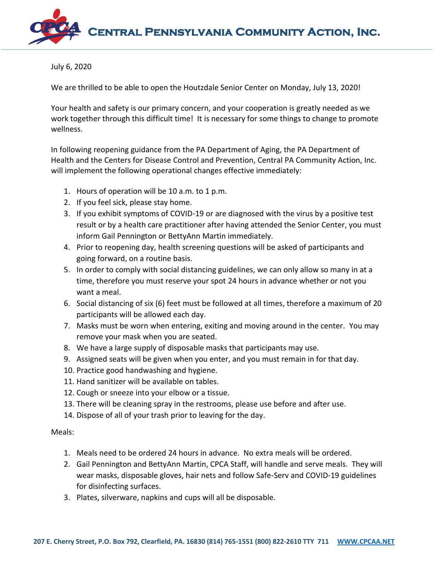

July 6, 2020

We are thrilled to be able to open the Houtzdale Senior Center on Monday, July 13, 2020!

Your health and safety is our primary concern, and your cooperation is greatly needed as we work together through this difficult time! It is necessary for some things to change to promote wellness.

In following reopening guidance from the PA Department of Aging, the PA Department of Health and the Centers for Disease Control and Prevention, Central PA Community Action, Inc. will implement the following operational changes effective immediately:

- 1. Hours of operation will be 10 a.m. to 1 p.m.
- 2. If you feel sick, please stay home.
- 3. If you exhibit symptoms of COVID-19 or are diagnosed with the virus by a positive test result or by a health care practitioner after having attended the Senior Center, you must inform Gail Pennington or BettyAnn Martin immediately.
- 4. Prior to reopening day, health screening questions will be asked of participants and going forward, on a routine basis.
- 5. In order to comply with social distancing guidelines, we can only allow so many in at a time, therefore you must reserve your spot 24 hours in advance whether or not you want a meal.
- 6. Social distancing of six (6) feet must be followed at all times, therefore a maximum of 20 participants will be allowed each day.
- 7. Masks must be worn when entering, exiting and moving around in the center. You may remove your mask when you are seated.
- 8. We have a large supply of disposable masks that participants may use.
- 9. Assigned seats will be given when you enter, and you must remain in for that day.
- 10. Practice good handwashing and hygiene.
- 11. Hand sanitizer will be available on tables.
- 12. Cough or sneeze into your elbow or a tissue.
- 13. There will be cleaning spray in the restrooms, please use before and after use.
- 14. Dispose of all of your trash prior to leaving for the day.

Meals:

- 1. Meals need to be ordered 24 hours in advance. No extra meals will be ordered.
- 2. Gail Pennington and BettyAnn Martin, CPCA Staff, will handle and serve meals. They will wear masks, disposable gloves, hair nets and follow Safe-Serv and COVID-19 guidelines for disinfecting surfaces.
- 3. Plates, silverware, napkins and cups will all be disposable.